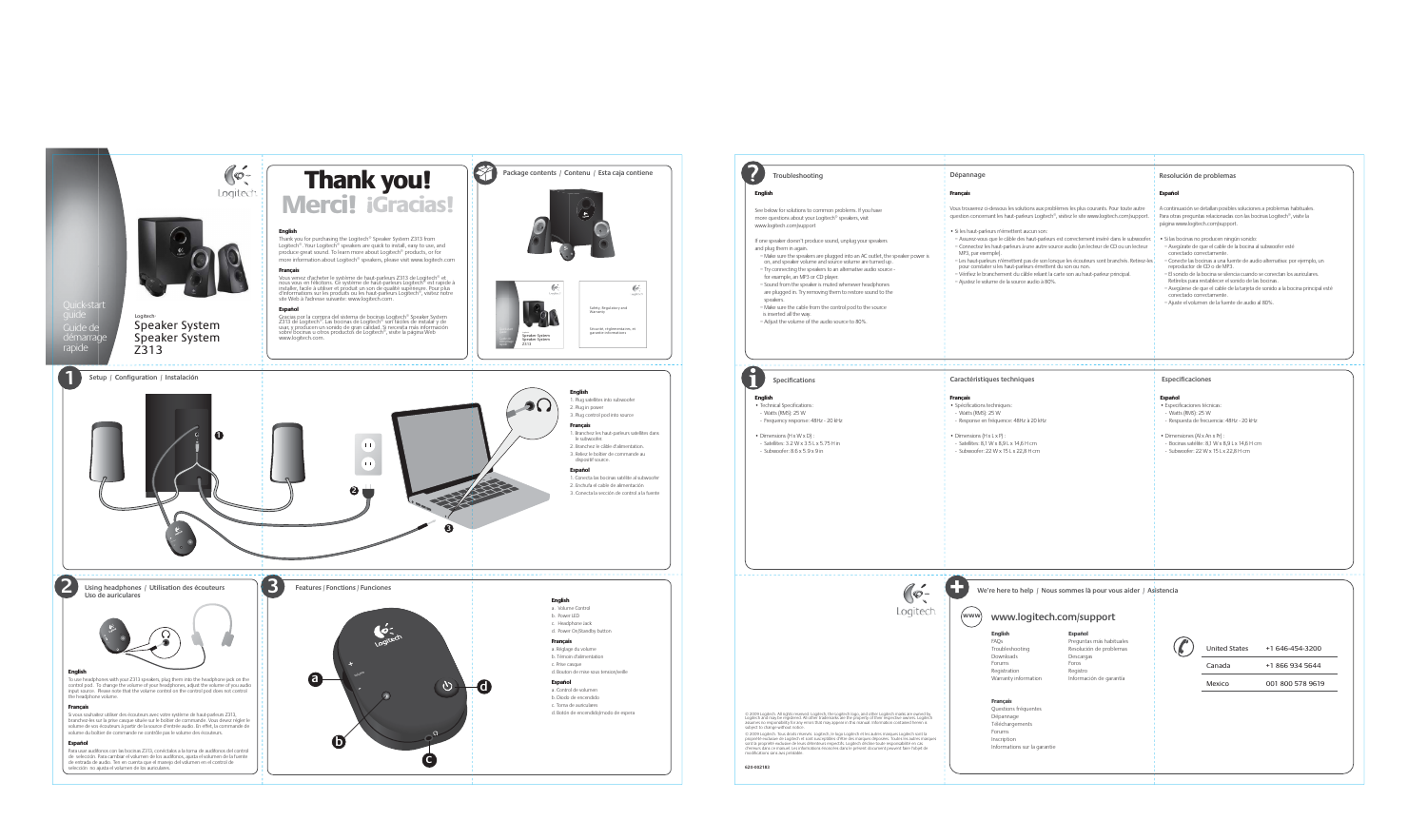|                                                                                                                                                                                                                                                                                                                                                                                                                                                                                                                                                                                                                                                                                                                                                                                 | Dépannage                                                                                                                                                                                                                                                                                                                                                                                                                                                                                                                                                                                                                                                                                                                                               | Resolución de problemas                                                                                                                                                                                                                                                                                                                                                                                                                                                                                                                                                                                                                                                                                                                         |
|---------------------------------------------------------------------------------------------------------------------------------------------------------------------------------------------------------------------------------------------------------------------------------------------------------------------------------------------------------------------------------------------------------------------------------------------------------------------------------------------------------------------------------------------------------------------------------------------------------------------------------------------------------------------------------------------------------------------------------------------------------------------------------|---------------------------------------------------------------------------------------------------------------------------------------------------------------------------------------------------------------------------------------------------------------------------------------------------------------------------------------------------------------------------------------------------------------------------------------------------------------------------------------------------------------------------------------------------------------------------------------------------------------------------------------------------------------------------------------------------------------------------------------------------------|-------------------------------------------------------------------------------------------------------------------------------------------------------------------------------------------------------------------------------------------------------------------------------------------------------------------------------------------------------------------------------------------------------------------------------------------------------------------------------------------------------------------------------------------------------------------------------------------------------------------------------------------------------------------------------------------------------------------------------------------------|
| <b>English</b>                                                                                                                                                                                                                                                                                                                                                                                                                                                                                                                                                                                                                                                                                                                                                                  | <b>Français</b>                                                                                                                                                                                                                                                                                                                                                                                                                                                                                                                                                                                                                                                                                                                                         | <b>Español</b>                                                                                                                                                                                                                                                                                                                                                                                                                                                                                                                                                                                                                                                                                                                                  |
| See below for solutions to common problems. If you have<br>more questions about your Logitech <sup>®</sup> speakers, visit<br>www.logitech.com/support<br>If one speaker doesn't produce sound, unplug your speakers<br>and plug them in again.<br>- Make sure the speakers are plugged into an AC outlet, the speaker power is<br>on, and speaker volume and source volume are turned up.<br>- Try connecting the speakers to an alternative audio source -<br>for example, an MP3 or CD player.<br>- Sound from the speaker is muted whenever headphones<br>are plugged in. Try removing them to restore sound to the<br>speakers.<br>- Make sure the cable from the control pod to the source<br>is inserted all the way.<br>- Adjust the volume of the audio source to 80%. | Vous trouverez ci-dessous les solutions aux problèmes les plus courants. Pour toute autre<br>question concernant les haut-parleurs Logitech®, visitez le site www.logitech.com/support.<br>· Si les haut-parleurs n'émettent aucun son:<br>- Assurez-vous que le câble des haut-parleurs est correctement inséré dans le subwoofer.<br>- Connectez les haut-parleurs à une autre source audio (un lecteur de CD ou un lecteur<br>MP3, par exemple).<br>- Les haut-parleurs n'émettent pas de son lorsque les écouteurs sont branchés. Retirez-les<br>pour constater si les haut-parleurs émettent du son ou non.<br>- Vérifiez le branchement du câble reliant la carte son au haut-parleur principal.<br>- Ajustez le volume de la source audio à 80%. | A continuación se detallan posibles soluciones a problemas habituales.<br>Para otras preguntas relacionadas con las bocinas Logitech®, visite la<br>página www.logitech.com/support.<br>· Si las bocinas no producen ningún sonido:<br>- Asegúrate de que el cable de la bocina al subwoofer esté<br>conectado correctamente.<br>- Conecte las bocinas a una fuente de audio alternativa: por ejemplo, un<br>reproductor de CD o de MP3.<br>- El sonido de la bocina se silencia cuando se conectan los auriculares.<br>Retírelos para restablecer el sonido de las bocinas.<br>- Asegúrese de que el cable de la tarjeta de sonido a la bocina principal esté<br>conectado correctamente.<br>- Ajuste el volumen de la fuente de audio al 80%. |
| <b>Specifications</b><br><b>English</b><br>• Technical Specifications:<br>- Watts (RMS): 25 W<br>- Frequency response: 48Hz - 20 kHz<br>• Dimensions $(H \times W \times D)$ :                                                                                                                                                                                                                                                                                                                                                                                                                                                                                                                                                                                                  | Caractéristiques techniques<br><b>Français</b><br>· Spécifications techniques:<br>- Watts (RMS): 25 W<br>- Response en fréquence: 48Hz à 20 kHz<br>• Dimensions $(H \times L \times P)$ :                                                                                                                                                                                                                                                                                                                                                                                                                                                                                                                                                               | <b>Especificaciones</b><br><b>Español</b><br>· Especificaciones técnicas:<br>- Watts (RMS): 25 W<br>- Respuesta de frecuencia: 48Hz - 20 kHz<br>• Dimensiones (AI x An x Pr) :                                                                                                                                                                                                                                                                                                                                                                                                                                                                                                                                                                  |
|                                                                                                                                                                                                                                                                                                                                                                                                                                                                                                                                                                                                                                                                                                                                                                                 |                                                                                                                                                                                                                                                                                                                                                                                                                                                                                                                                                                                                                                                                                                                                                         |                                                                                                                                                                                                                                                                                                                                                                                                                                                                                                                                                                                                                                                                                                                                                 |
| $\circ$<br>Logitech.                                                                                                                                                                                                                                                                                                                                                                                                                                                                                                                                                                                                                                                                                                                                                            | We're here to help / Nous sommes là pour vous aider / Asistencia<br>www.logitech.com/support<br>(www)                                                                                                                                                                                                                                                                                                                                                                                                                                                                                                                                                                                                                                                   |                                                                                                                                                                                                                                                                                                                                                                                                                                                                                                                                                                                                                                                                                                                                                 |
|                                                                                                                                                                                                                                                                                                                                                                                                                                                                                                                                                                                                                                                                                                                                                                                 | <b>English</b><br><b>Español</b><br>FAQs<br>Preguntas más habituales<br>Resolución de problemas<br>Troubleshooting<br>Downloads<br>Descargas<br>Forums<br>Foros<br>Registration<br>Registro<br>Información de garantía<br>Warranty information<br><b>Français</b>                                                                                                                                                                                                                                                                                                                                                                                                                                                                                       | <b>United States</b><br>+1 646-454-3200<br>Canada<br>+1 866 934 5644<br>Mexico<br>001 800 578 9619                                                                                                                                                                                                                                                                                                                                                                                                                                                                                                                                                                                                                                              |
|                                                                                                                                                                                                                                                                                                                                                                                                                                                                                                                                                                                                                                                                                                                                                                                 | Questions fréquentes                                                                                                                                                                                                                                                                                                                                                                                                                                                                                                                                                                                                                                                                                                                                    |                                                                                                                                                                                                                                                                                                                                                                                                                                                                                                                                                                                                                                                                                                                                                 |